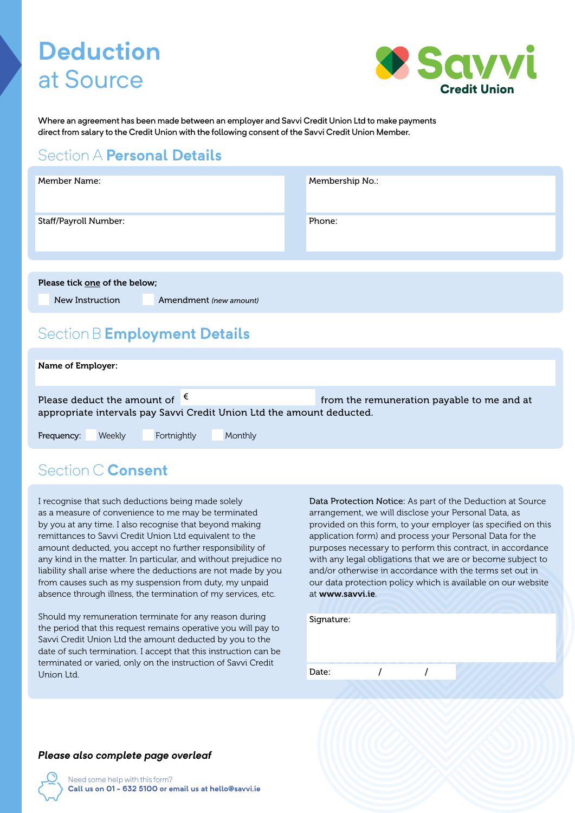# **Deduction** at Source



Where an agreement has been made between an employer and Savvi Credit Union Ltd to make payments direct from salary to the Credit Union with the following consent of the Savvi Credit Union Member.

#### Section A **Personal Details**

| Member Name:                  |                        | Membership No.: |  |
|-------------------------------|------------------------|-----------------|--|
| Staff/Payroll Number:         |                        | Phone:          |  |
|                               |                        |                 |  |
| Please tick one of the below; |                        |                 |  |
| New Instruction               | Amendment (new amount) |                 |  |

### Section B **Employment Details**

| Name of Employer: |                                        |             |                                                                       |                                            |
|-------------------|----------------------------------------|-------------|-----------------------------------------------------------------------|--------------------------------------------|
|                   | Please deduct the amount of $\epsilon$ |             | appropriate intervals pay Savvi Credit Union Ltd the amount deducted. | from the remuneration payable to me and at |
| Frequency:        | Weekly                                 | Fortnightly | Monthly                                                               |                                            |

#### Section C **Consent**

I recognise that such deductions being made solely as a measure of convenience to me may be terminated by you at any time. I also recognise that beyond making remittances to Savvi Credit Union Ltd equivalent to the amount deducted, you accept no further responsibility of any kind in the matter. In particular, and without prejudice no liability shall arise where the deductions are not made by you from causes such as my suspension from duty, my unpaid absence through illness, the termination of my services, etc.

Should my remuneration terminate for any reason during the period that this request remains operative you will pay to Savvi Credit Union Ltd the amount deducted by you to the date of such termination. I accept that this instruction can be terminated or varied, only on the instruction of Savvi Credit Union Ltd.

Data Protection Notice: As part of the Deduction at Source arrangement, we will disclose your Personal Data, as provided on this form, to your employer (as specified on this application form) and process your Personal Data for the purposes necessary to perform this contract, in accordance with any legal obligations that we are or become subject to and/or otherwise in accordance with the terms set out in our data protection policy which is available on our website at www.savvi.ie.

| Signature: |  |  |
|------------|--|--|
| Date:      |  |  |
|            |  |  |

#### *Please also complete page overleaf*